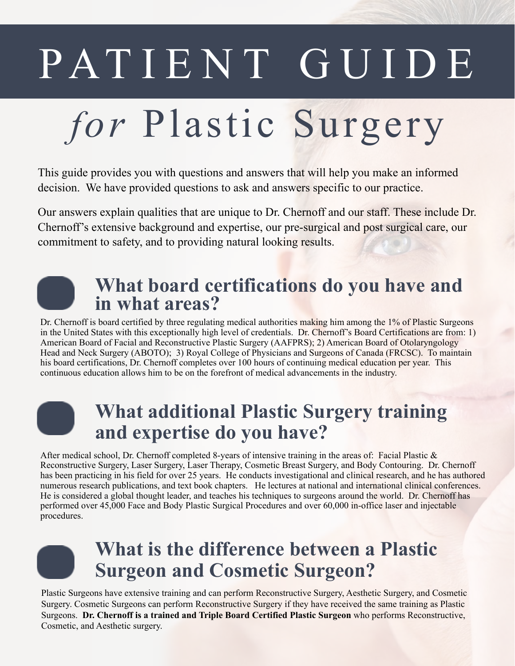# PATIENT GUIDE

## for Plastic Surgery

This guide provides you with questions and answers that will help you make an informed decision. We have provided questions to ask and answers specific to our practice.

Our answers explain qualities that are unique to Dr. Chernoff and our staff. These include Dr. Chernoff's extensive background and expertise, our pre-surgical and post surgical care, our commitment to safety, and to providing natural looking results.

#### **What board certifications do you have and in what areas?**

Dr. Chernoff is board certified by three regulating medical authorities making him among the 1% of Plastic Surgeons in the United States with this exceptionally high level of credentials. Dr. Chernoff's Board Certifications are from: 1) American Board of Facial and Reconstructive Plastic Surgery (AAFPRS); 2) American Board of Otolaryngology Head and Neck Surgery (ABOTO); 3) Royal College of Physicians and Surgeons of Canada (FRCSC). To maintain his board certifications, Dr. Chernoff completes over 100 hours of continuing medical education per year. This continuous education allows him to be on the forefront of medical advancements in the industry.

#### **What additional Plastic Surgery training and expertise do you have?**

After medical school, Dr. Chernoff completed 8-years of intensive training in the areas of: Facial Plastic & Reconstructive Surgery, Laser Surgery, Laser Therapy, Cosmetic Breast Surgery, and Body Contouring. Dr. Chernoff has been practicing in his field for over 25 years. He conducts investigational and clinical research, and he has authored numerous research publications, and text book chapters. He lectures at national and international clinical conferences. He is considered a global thought leader, and teaches his techniques to surgeons around the world. Dr. Chernoff has performed over 45,000 Face and Body Plastic Surgical Procedures and over 60,000 in-office laser and injectable procedures.

#### **What is the difference between a Plastic Surgeon and Cosmetic Surgeon?**

Plastic Surgeons have extensive training and can perform Reconstructive Surgery, Aesthetic Surgery, and Cosmetic Surgery. Cosmetic Surgeons can perform Reconstructive Surgery if they have received the same training as Plastic Surgeons. **Dr. Chernoff is a trained and Triple Board Certified Plastic Surgeon** who performs Reconstructive, Cosmetic, and Aesthetic surgery.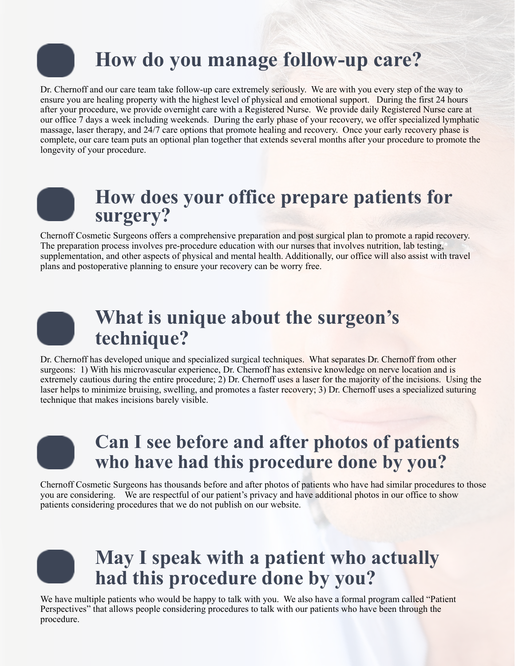## **How do you manage follow-up care?**

Dr. Chernoff and our care team take follow-up care extremely seriously. We are with you every step of the way to ensure you are healing property with the highest level of physical and emotional support. During the first 24 hours after your procedure, we provide overnight care with a Registered Nurse. We provide daily Registered Nurse care at our office 7 days a week including weekends. During the early phase of your recovery, we offer specialized lymphatic massage, laser therapy, and 24/7 care options that promote healing and recovery. Once your early recovery phase is complete, our care team puts an optional plan together that extends several months after your procedure to promote the longevity of your procedure.



#### **How does your office prepare patients for surgery?**

Chernoff Cosmetic Surgeons offers a comprehensive preparation and post surgical plan to promote a rapid recovery. The preparation process involves pre-procedure education with our nurses that involves nutrition, lab testing, supplementation, and other aspects of physical and mental health. Additionally, our office will also assist with travel plans and postoperative planning to ensure your recovery can be worry free.

#### **What is unique about the surgeon's technique?**

Dr. Chernoff has developed unique and specialized surgical techniques. What separates Dr. Chernoff from other surgeons: 1) With his microvascular experience, Dr. Chernoff has extensive knowledge on nerve location and is extremely cautious during the entire procedure; 2) Dr. Chernoff uses a laser for the majority of the incisions. Using the laser helps to minimize bruising, swelling, and promotes a faster recovery; 3) Dr. Chernoff uses a specialized suturing technique that makes incisions barely visible.

#### **Can I see before and after photos of patients who have had this procedure done by you?**

Chernoff Cosmetic Surgeons has thousands before and after photos of patients who have had similar procedures to those you are considering. We are respectful of our patient's privacy and have additional photos in our office to show patients considering procedures that we do not publish on our website.



#### **May I speak with a patient who actually had this procedure done by you?**

We have multiple patients who would be happy to talk with you. We also have a formal program called "Patient" Perspectives" that allows people considering procedures to talk with our patients who have been through the procedure.